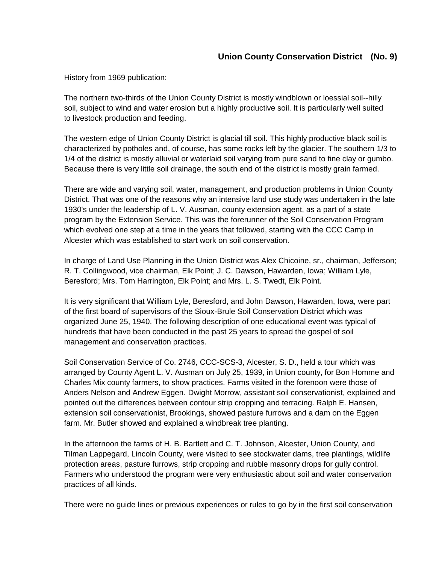## **Union County Conservation District (No. 9)**

History from 1969 publication:

The northern two-thirds of the Union County District is mostly windblown or loessial soil--hilly soil, subject to wind and water erosion but a highly productive soil. It is particularly well suited to livestock production and feeding.

The western edge of Union County District is glacial till soil. This highly productive black soil is characterized by potholes and, of course, has some rocks left by the glacier. The southern 1/3 to 1/4 of the district is mostly alluvial or waterlaid soil varying from pure sand to fine clay or gumbo. Because there is very little soil drainage, the south end of the district is mostly grain farmed.

There are wide and varying soil, water, management, and production problems in Union County District. That was one of the reasons why an intensive land use study was undertaken in the late 1930's under the leadership of L. V. Ausman, county extension agent, as a part of a state program by the Extension Service. This was the forerunner of the Soil Conservation Program which evolved one step at a time in the years that followed, starting with the CCC Camp in Alcester which was established to start work on soil conservation.

In charge of Land Use Planning in the Union District was Alex Chicoine, sr., chairman, Jefferson; R. T. Collingwood, vice chairman, Elk Point; J. C. Dawson, Hawarden, Iowa; William Lyle, Beresford; Mrs. Tom Harrington, Elk Point; and Mrs. L. S. Twedt, Elk Point.

It is very significant that William Lyle, Beresford, and John Dawson, Hawarden, Iowa, were part of the first board of supervisors of the Sioux-Brule Soil Conservation District which was organized June 25, 1940. The following description of one educational event was typical of hundreds that have been conducted in the past 25 years to spread the gospel of soil management and conservation practices.

Soil Conservation Service of Co. 2746, CCC-SCS-3, Alcester, S. D., held a tour which was arranged by County Agent L. V. Ausman on July 25, 1939, in Union county, for Bon Homme and Charles Mix county farmers, to show practices. Farms visited in the forenoon were those of Anders Nelson and Andrew Eggen. Dwight Morrow, assistant soil conservationist, explained and pointed out the differences between contour strip cropping and terracing. Ralph E. Hansen, extension soil conservationist, Brookings, showed pasture furrows and a dam on the Eggen farm. Mr. Butler showed and explained a windbreak tree planting.

In the afternoon the farms of H. B. Bartlett and C. T. Johnson, Alcester, Union County, and Tilman Lappegard, Lincoln County, were visited to see stockwater dams, tree plantings, wildlife protection areas, pasture furrows, strip cropping and rubble masonry drops for gully control. Farmers who understood the program were very enthusiastic about soil and water conservation practices of all kinds.

There were no guide lines or previous experiences or rules to go by in the first soil conservation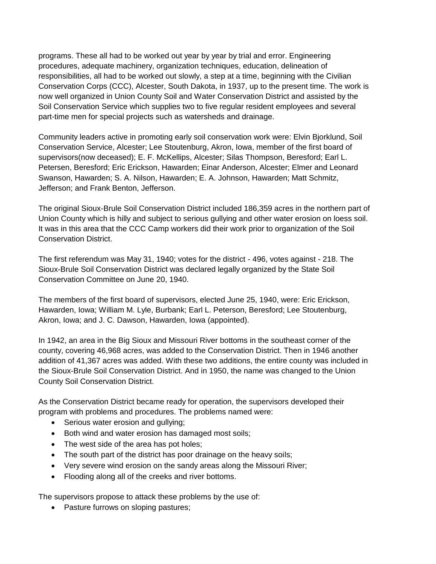programs. These all had to be worked out year by year by trial and error. Engineering procedures, adequate machinery, organization techniques, education, delineation of responsibilities, all had to be worked out slowly, a step at a time, beginning with the Civilian Conservation Corps (CCC), Alcester, South Dakota, in 1937, up to the present time. The work is now well organized in Union County Soil and Water Conservation District and assisted by the Soil Conservation Service which supplies two to five regular resident employees and several part-time men for special projects such as watersheds and drainage.

Community leaders active in promoting early soil conservation work were: Elvin Bjorklund, Soil Conservation Service, Alcester; Lee Stoutenburg, Akron, Iowa, member of the first board of supervisors(now deceased); E. F. McKellips, Alcester; Silas Thompson, Beresford; Earl L. Petersen, Beresford; Eric Erickson, Hawarden; Einar Anderson, Alcester; Elmer and Leonard Swanson, Hawarden; S. A. Nilson, Hawarden; E. A. Johnson, Hawarden; Matt Schmitz, Jefferson; and Frank Benton, Jefferson.

The original Sioux-Brule Soil Conservation District included 186,359 acres in the northern part of Union County which is hilly and subject to serious gullying and other water erosion on loess soil. It was in this area that the CCC Camp workers did their work prior to organization of the Soil Conservation District.

The first referendum was May 31, 1940; votes for the district - 496, votes against - 218. The Sioux-Brule Soil Conservation District was declared legally organized by the State Soil Conservation Committee on June 20, 1940.

The members of the first board of supervisors, elected June 25, 1940, were: Eric Erickson, Hawarden, Iowa; William M. Lyle, Burbank; Earl L. Peterson, Beresford; Lee Stoutenburg, Akron, Iowa; and J. C. Dawson, Hawarden, Iowa (appointed).

In 1942, an area in the Big Sioux and Missouri River bottoms in the southeast corner of the county, covering 46,968 acres, was added to the Conservation District. Then in 1946 another addition of 41,367 acres was added. With these two additions, the entire county was included in the Sioux-Brule Soil Conservation District. And in 1950, the name was changed to the Union County Soil Conservation District.

As the Conservation District became ready for operation, the supervisors developed their program with problems and procedures. The problems named were:

- Serious water erosion and gullying;
- Both wind and water erosion has damaged most soils;
- The west side of the area has pot holes;
- The south part of the district has poor drainage on the heavy soils;
- Very severe wind erosion on the sandy areas along the Missouri River;
- Flooding along all of the creeks and river bottoms.

The supervisors propose to attack these problems by the use of:

• Pasture furrows on sloping pastures;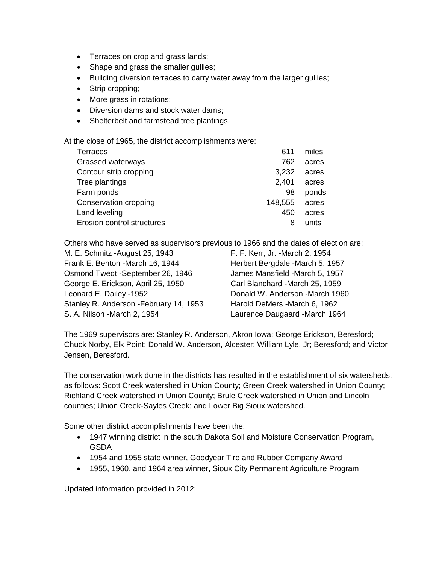- Terraces on crop and grass lands;
- Shape and grass the smaller gullies;
- Building diversion terraces to carry water away from the larger gullies;
- Strip cropping;
- More grass in rotations;
- Diversion dams and stock water dams;
- Shelterbelt and farmstead tree plantings.

At the close of 1965, the district accomplishments were:

| 611     | miles |
|---------|-------|
| 762     | acres |
| 3.232   | acres |
| 2,401   | acres |
| 98      | ponds |
| 148,555 | acres |
| 450     | acres |
| 8       | units |
|         |       |

Others who have served as supervisors previous to 1966 and the dates of election are:

| M. E. Schmitz - August 25, 1943         |  |
|-----------------------------------------|--|
| Frank E. Benton - March 16, 1944        |  |
| Osmond Twedt -September 26, 1946        |  |
| George E. Erickson, April 25, 1950      |  |
| Leonard E. Dailey -1952                 |  |
| Stanley R. Anderson - February 14, 1953 |  |
| S. A. Nilson - March 2, 1954            |  |

F. F. Kerr, Jr. -March 2, 1954 Herbert Bergdale -March 5, 1957 James Mansfield -March 5, 1957 Carl Blanchard -March 25, 1959 Donald W. Anderson -March 1960 Harold DeMers -March 6, 1962 Laurence Daugaard -March 1964

The 1969 supervisors are: Stanley R. Anderson, Akron Iowa; George Erickson, Beresford; Chuck Norby, Elk Point; Donald W. Anderson, Alcester; William Lyle, Jr; Beresford; and Victor Jensen, Beresford.

The conservation work done in the districts has resulted in the establishment of six watersheds, as follows: Scott Creek watershed in Union County; Green Creek watershed in Union County; Richland Creek watershed in Union County; Brule Creek watershed in Union and Lincoln counties; Union Creek-Sayles Creek; and Lower Big Sioux watershed.

Some other district accomplishments have been the:

- 1947 winning district in the south Dakota Soil and Moisture Conservation Program, GSDA
- 1954 and 1955 state winner, Goodyear Tire and Rubber Company Award
- 1955, 1960, and 1964 area winner, Sioux City Permanent Agriculture Program

Updated information provided in 2012: